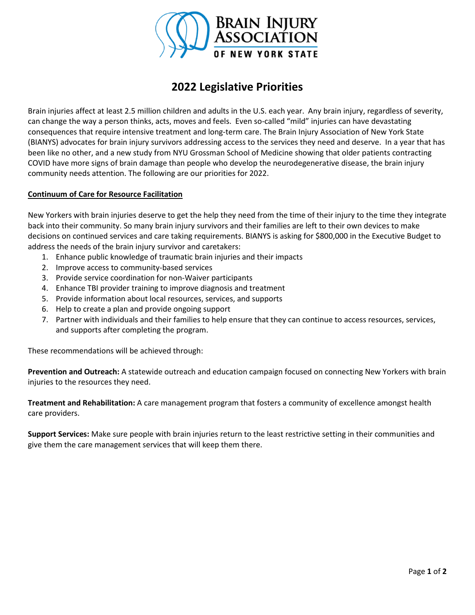

# **2022 Legislative Priorities**

Brain injuries affect at least 2.5 million children and adults in the U.S. each year. Any brain injury, regardless of severity, can change the way a person thinks, acts, moves and feels. Even so-called "mild" injuries can have devastating consequences that require intensive treatment and long-term care. The Brain Injury Association of New York State (BIANYS) advocates for brain injury survivors addressing access to the services they need and deserve. In a year that has been like no other, and a new study from NYU Grossman School of Medicine showing that older patients contracting COVID have more signs of brain damage than people who develop the neurodegenerative disease, the brain injury community needs attention. The following are our priorities for 2022.

## **Continuum of Care for Resource Facilitation**

New Yorkers with brain injuries deserve to get the help they need from the time of their injury to the time they integrate back into their community. So many brain injury survivors and their families are left to their own devices to make decisions on continued services and care taking requirements. BIANYS is asking for \$800,000 in the Executive Budget to address the needs of the brain injury survivor and caretakers:

- 1. Enhance public knowledge of traumatic brain injuries and their impacts
- 2. Improve access to community-based services
- 3. Provide service coordination for non-Waiver participants
- 4. Enhance TBI provider training to improve diagnosis and treatment
- 5. Provide information about local resources, services, and supports
- 6. Help to create a plan and provide ongoing support
- 7. Partner with individuals and their families to help ensure that they can continue to access resources, services, and supports after completing the program.

These recommendations will be achieved through:

**Prevention and Outreach:** A statewide outreach and education campaign focused on connecting New Yorkers with brain injuries to the resources they need.

**Treatment and Rehabilitation:** A care management program that fosters a community of excellence amongst health care providers.

**Support Services:** Make sure people with brain injuries return to the least restrictive setting in their communities and give them the care management services that will keep them there.